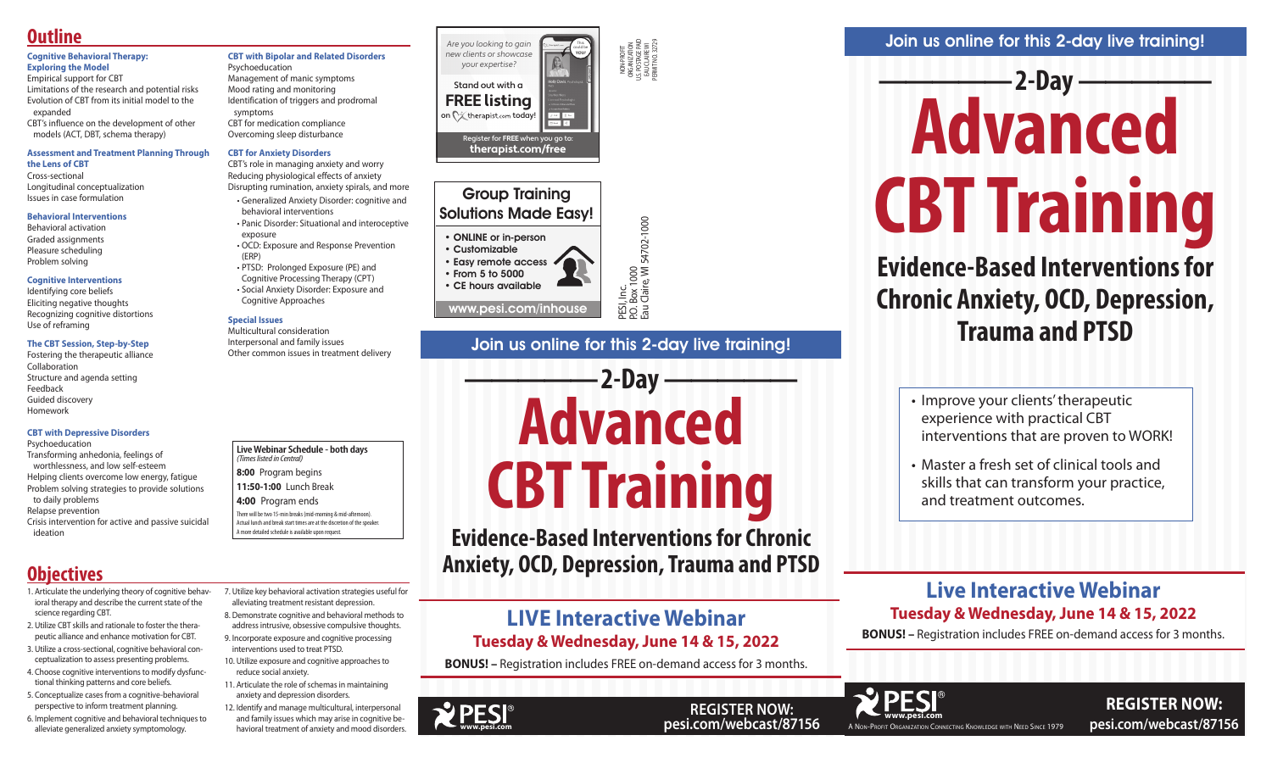# Join us online for this 2-day live training!

PESI, Inc.<br>P.O. Box 1000<br>Eau Claire, Wl 54702-1000

# **————— 2-Day —————**





**Evidence-Based Interventions for Chronic** 

# **-2-Day -Advanced CBT Training**

**Anxiety, OCD, Depression, Trauma and PTSD**

Join us online for this 2-day live training!

# **Evidence-Based Interventions for Chronic Anxiety, OCD, Depression, Trauma and PTSD**

- Improve your clients' therapeutic experience with practical CBT interventions that are proven to WORK!
- Master a fresh set of clinical tools and skills that can transform your practice, and treatment outcomes.

• Easy remote access • From 5 to 5000 • CE hours available



**REGISTER NOW:** 

NON-PROFIT ORGANIZATION U.S. POSTAGE PAID EAU CLAIRE WI PERMIT NO. 32729

P.O. Box 1000

Eau Claire, WI 54702-1000

# **Live Interactive Webinar Tuesday & Wednesday, June 14 & 15, 2022**

**BONUS! –** Registration includes FREE on-demand access for 3 months.

Group Training Solutions Made Easy!

• ONLINE or in-person • Customizable

www.pesi.com/inhouse

# **Live Webinar Schedule - both days**

- *(Times listed in Central)*
- **8:00** Program begins **11:50-1:00** Lunch Break
- **4:00** Program ends

There will be two 15-min breaks (mid-morning & mid-afternoon). Actual lunch and break start times are at the discretion of the speaker. A more detailed schedule is available upon request.

# **LIVE Interactive Webinar Tuesday & Wednesday, June 14 & 15, 2022**

**BONUS! –** Registration includes FREE on-demand access for 3 months.



#### **Cognitive Behavioral Therapy: Exploring the Model**

Empirical support for CBT Limitations of the research and potential risks Evolution of CBT from its initial model to the expanded

CBT's influence on the development of other models (ACT, DBT, schema therapy)

#### **Assessment and Treatment Planning Through the Lens of CBT**

# Cross-sectional

Longitudinal conceptualization Issues in case formulation

#### **Behavioral Interventions**

Behavioral activation Graded assignments Pleasure scheduling Problem solving

#### **Cognitive Interventions**

Identifying core beliefs Eliciting negative thoughts Recognizing cognitive distortions Use of reframing

#### **The CBT Session, Step-by-Step**

Fostering the therapeutic alliance Collaboration Structure and agenda setting Feedback Guided discovery Homework

#### **CBT with Depressive Disorders**

Psychoeducation

Transforming anhedonia, feelings of worthlessness, and low self-esteem Helping clients overcome low energy, fatigue Problem solving strategies to provide solutions to daily problems

Relapse prevention

Crisis intervention for active and passive suicidal ideation

# **CBT with Bipolar and Related Disorders** Psychoeducation

Management of manic symptoms Mood rating and monitoring Identification of triggers and prodromal symptoms CBT for medication compliance Overcoming sleep disturbance

### **CBT for Anxiety Disorders**

CBT's role in managing anxiety and worry Reducing physiological effects of anxiety Disrupting rumination, anxiety spirals, and more

- Generalized Anxiety Disorder: cognitive and behavioral interventions
- Panic Disorder: Situational and interoceptive exposure • OCD: Exposure and Response Prevention
- (ERP) • PTSD: Prolonged Exposure (PE) and
- Cognitive Processing Therapy (CPT) • Social Anxiety Disorder: Exposure and
- Cognitive Approaches

#### **Special Issues**

Multicultural consideration Interpersonal and family issues Other common issues in treatment delivery

# **Outline**

- 1. Articulate the underlying theory of cognitive behavioral therapy and describe the current state of the science regarding CBT.
- 2. Utilize CBT skills and rationale to foster the therapeutic alliance and enhance motivation for CBT.
- 3. Utilize a cross-sectional, cognitive behavioral conceptualization to assess presenting problems.
- 4. Choose cognitive interventions to modify dysfunctional thinking patterns and core beliefs.
- 5. Conceptualize cases from a cognitive-behavioral perspective to inform treatment planning.
- 6. Implement cognitive and behavioral techniques to alleviate generalized anxiety symptomology.
- 7. Utilize key behavioral activation strategies useful for alleviating treatment resistant depression. 8. Demonstrate cognitive and behavioral methods to
- address intrusive, obsessive compulsive thoughts. 9. Incorporate exposure and cognitive processing
- interventions used to treat PTSD.
- 10. Utilize exposure and cognitive approaches to reduce social anxiety.
- 11. Articulate the role of schemas in maintaining anxiety and depression disorders.
- 12. Identify and manage multicultural, interpersonal and family issues which may arise in cognitive behavioral treatment of anxiety and mood disorders.

# **Objectives**